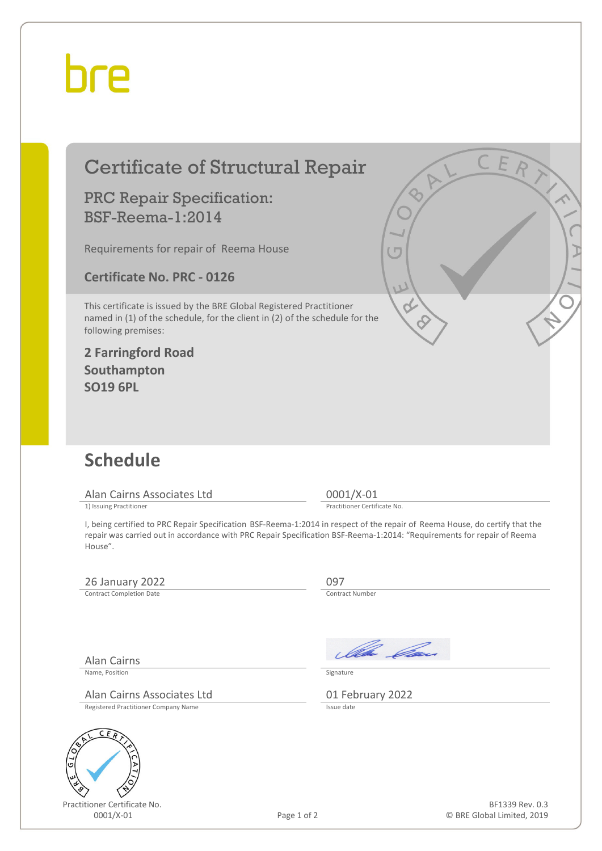## bre

| <b>Certificate of Structural Repair</b>                                                                                                                                    |             | C E R                                                                                                                                                                                                                                                  |
|----------------------------------------------------------------------------------------------------------------------------------------------------------------------------|-------------|--------------------------------------------------------------------------------------------------------------------------------------------------------------------------------------------------------------------------------------------------------|
| <b>PRC Repair Specification:</b><br><b>BSF-Reema-1:2014</b>                                                                                                                |             |                                                                                                                                                                                                                                                        |
| Requirements for repair of Reema House                                                                                                                                     |             | $\mathfrak{c}$                                                                                                                                                                                                                                         |
| <b>Certificate No. PRC - 0126</b>                                                                                                                                          |             | U                                                                                                                                                                                                                                                      |
| This certificate is issued by the BRE Global Registered Practitioner<br>named in (1) of the schedule, for the client in (2) of the schedule for the<br>following premises: |             |                                                                                                                                                                                                                                                        |
| <b>2 Farringford Road</b><br>Southampton<br><b>SO19 6PL</b>                                                                                                                |             |                                                                                                                                                                                                                                                        |
|                                                                                                                                                                            |             |                                                                                                                                                                                                                                                        |
| <b>Schedule</b>                                                                                                                                                            |             |                                                                                                                                                                                                                                                        |
| Alan Cairns Associates Ltd<br>1) Issuing Practitioner                                                                                                                      |             | $0001/X-01$<br>Practitioner Certificate No.                                                                                                                                                                                                            |
| House".                                                                                                                                                                    |             | I, being certified to PRC Repair Specification BSF-Reema-1:2014 in respect of the repair of Reema House, do certify that the<br>repair was carried out in accordance with PRC Repair Specification BSF-Reema-1:2014: "Requirements for repair of Reema |
| 26 January 2022                                                                                                                                                            |             | 097                                                                                                                                                                                                                                                    |
| <b>Contract Completion Date</b>                                                                                                                                            |             | Contract Number                                                                                                                                                                                                                                        |
|                                                                                                                                                                            |             | la Can                                                                                                                                                                                                                                                 |
| Alan Cairns<br>Name, Position                                                                                                                                              |             | Signature                                                                                                                                                                                                                                              |
| Alan Cairns Associates Ltd<br>Registered Practitioner Company Name                                                                                                         |             | 01 February 2022<br>Issue date                                                                                                                                                                                                                         |
| ER                                                                                                                                                                         |             |                                                                                                                                                                                                                                                        |
| G                                                                                                                                                                          |             |                                                                                                                                                                                                                                                        |
|                                                                                                                                                                            |             |                                                                                                                                                                                                                                                        |
| Practitioner Certificate No.<br>0001/X-01                                                                                                                                  | Page 1 of 2 | BF1339 Rev. 0.3<br>© BRE Global Limited, 2019                                                                                                                                                                                                          |